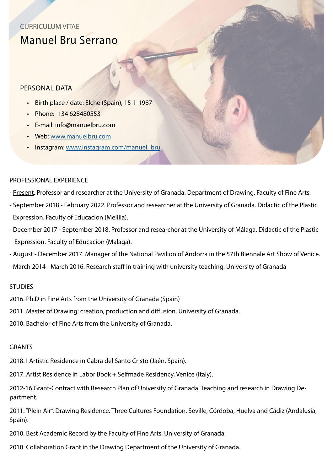# CURRICULUM VITAE Manuel Bru Serrano

## PERSONAL DATA

- Birth place / date: Elche (Spain), 15-1-1987
- Phone: +34 628480553
- E-mail: info@manuelbru.com
- Web: [www.manuelbru.com](http://manuelbru.com)
- Instagram: [www.instagram.com/manuel\\_bru](https://www.instagram.com/manuel_bru/?hl=es)

### PROFESSIONAL EXPERIENCE

- Present. Professor and researcher at the University of Granada. Department of Drawing. Faculty of Fine Arts.
- September 2018 February 2022. Professor and researcher at the University of Granada. Didactic of the Plastic Expression. Faculty of Educacion (Melilla).
- December 2017 September 2018. Professor and researcher at the University of Málaga. Didactic of the Plastic Expression. Faculty of Educacion (Malaga).
- August December 2017. Manager of the National Pavilion of Andorra in the 57th Biennale Art Show of Venice.
- March 2014 March 2016. Research staff in training with university teaching. University of Granada

#### **STUDIES**

2016. Ph.D in Fine Arts from the University of Granada (Spain)

2011. Master of Drawing: creation, production and diffusion. University of Granada.

2010. Bachelor of Fine Arts from the University of Granada.

#### **GRANTS**

2018. I Artistic Residence in Cabra del Santo Cristo (Jaén, Spain).

2017. Artist Residence in Labor Book + Selfmade Residency, Venice (Italy).

2012-16 Grant-Contract with Research Plan of University of Granada. Teaching and research in Drawing Department.

2011. "Plein Air". Drawing Residence. Three Cultures Foundation. Seville, Córdoba, Huelva and Cádiz (Andalusia, Spain).

2010. Best Academic Record by the Faculty of Fine Arts. University of Granada.

2010. Collaboration Grant in the Drawing Department of the University of Granada.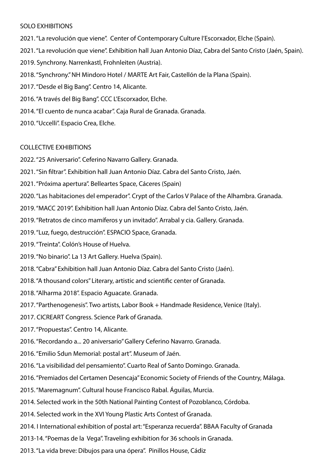#### SOLO EXHIBITIONS

- 2021. "La revolución que viene". Center of Contemporary Culture l'Escorxador, Elche (Spain). 2021. "La revolución que viene". Exhibition hall Juan Antonio Díaz, Cabra del Santo Cristo (Jaén, Spain). 2019. Synchrony. Narrenkastl, Frohnleiten (Austria). 2018. "Synchrony." NH Mindoro Hotel / MARTE Art Fair, Castellón de la Plana (Spain). 2017. "Desde el Big Bang". Centro 14, Alicante. 2016. "A través del Big Bang". CCC L'Escorxador, Elche. 2014. "El cuento de nunca acabar". Caja Rural de Granada. Granada.
- 2010. "Uccelli". Espacio Crea, Elche.

#### COLLECTIVE EXHIBITIONS

- 2022. "25 Aniversario". Ceferino Navarro Gallery. Granada.
- 2021. "Sin filtrar". Exhibition hall Juan Antonio Díaz. Cabra del Santo Cristo, Jaén.
- 2021. "Próxima apertura". Belleartes Space, Cáceres (Spain)
- 2020. "Las habitaciones del emperador". Crypt of the Carlos V Palace of the Alhambra. Granada.
- 2019. "MACC 2019". Exhibition hall Juan Antonio Díaz. Cabra del Santo Cristo, Jaén.
- 2019. "Retratos de cinco mamíferos y un invitado". Arrabal y cia. Gallery. Granada.
- 2019. "Luz, fuego, destrucción". ESPACIO Space, Granada.
- 2019. "Treinta". Colón's House of Huelva.
- 2019. "No binario". La 13 Art Gallery. Huelva (Spain).
- 2018. "Cabra" Exhibition hall Juan Antonio Díaz. Cabra del Santo Cristo (Jaén).
- 2018. "A thousand colors" Literary, artistic and scientific center of Granada.
- 2018. "Alharma 2018". Espacio Aguacate. Granada.
- 2017. "Parthenogenesis". Two artists, Labor Book + Handmade Residence, Venice (Italy).
- 2017. CICREART Congress. Science Park of Granada.
- 2017. "Propuestas". Centro 14, Alicante.
- 2016. "Recordando a... 20 aniversario" Gallery Ceferino Navarro. Granada.
- 2016. "Emilio Sdun Memorial: postal art". Museum of Jaén.
- 2016. "La visibilidad del pensamiento". Cuarto Real of Santo Domingo. Granada.
- 2016. "Premiados del Certamen Desencaja" Economic Society of Friends of the Country, Málaga.
- 2015. "Maremagnum". Cultural house Francisco Rabal. Águilas, Murcia.
- 2014. Selected work in the 50th National Painting Contest of Pozoblanco, Córdoba.
- 2014. Selected work in the XVI Young Plastic Arts Contest of Granada.
- 2014. I International exhibition of postal art: "Esperanza recuerda". BBAA Faculty of Granada
- 2013-14. "Poemas de la Vega". Traveling exhibition for 36 schools in Granada.
- 2013. "La vida breve: Dibujos para una ópera". Pinillos House, Cádiz